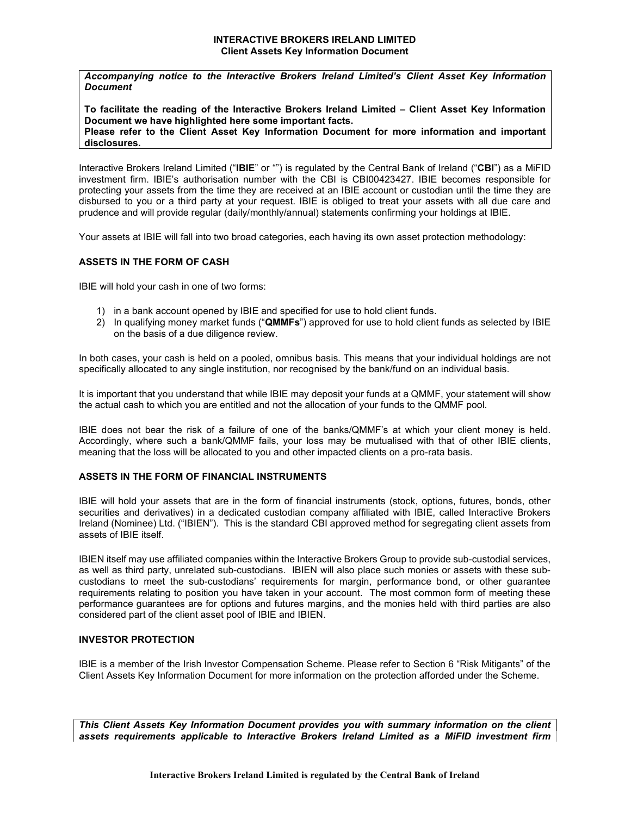Accompanying notice to the Interactive Brokers Ireland Limited's Client Asset Key Information **Document** 

To facilitate the reading of the Interactive Brokers Ireland Limited – Client Asset Key Information Document we have highlighted here some important facts. Please refer to the Client Asset Key Information Document for more information and important disclosures.

Interactive Brokers Ireland Limited ("IBIE" or "") is regulated by the Central Bank of Ireland ("CBI") as a MiFID investment firm. IBIE's authorisation number with the CBI is CBI00423427. IBIE becomes responsible for protecting your assets from the time they are received at an IBIE account or custodian until the time they are disbursed to you or a third party at your request. IBIE is obliged to treat your assets with all due care and prudence and will provide regular (daily/monthly/annual) statements confirming your holdings at IBIE.

Your assets at IBIE will fall into two broad categories, each having its own asset protection methodology:

# ASSETS IN THE FORM OF CASH

IBIE will hold your cash in one of two forms:

- 1) in a bank account opened by IBIE and specified for use to hold client funds.
- 2) In qualifying money market funds ("QMMFs") approved for use to hold client funds as selected by IBIE on the basis of a due diligence review.

In both cases, your cash is held on a pooled, omnibus basis. This means that your individual holdings are not specifically allocated to any single institution, nor recognised by the bank/fund on an individual basis.

It is important that you understand that while IBIE may deposit your funds at a QMMF, your statement will show the actual cash to which you are entitled and not the allocation of your funds to the QMMF pool.

IBIE does not bear the risk of a failure of one of the banks/QMMF's at which your client money is held. Accordingly, where such a bank/QMMF fails, your loss may be mutualised with that of other IBIE clients, meaning that the loss will be allocated to you and other impacted clients on a pro-rata basis.

#### ASSETS IN THE FORM OF FINANCIAL INSTRUMENTS

IBIE will hold your assets that are in the form of financial instruments (stock, options, futures, bonds, other securities and derivatives) in a dedicated custodian company affiliated with IBIE, called Interactive Brokers Ireland (Nominee) Ltd. ("IBIEN"). This is the standard CBI approved method for segregating client assets from assets of IBIE itself.

IBIEN itself may use affiliated companies within the Interactive Brokers Group to provide sub-custodial services, as well as third party, unrelated sub-custodians. IBIEN will also place such monies or assets with these subcustodians to meet the sub-custodians' requirements for margin, performance bond, or other guarantee requirements relating to position you have taken in your account. The most common form of meeting these performance guarantees are for options and futures margins, and the monies held with third parties are also considered part of the client asset pool of IBIE and IBIEN.

# INVESTOR PROTECTION

IBIE is a member of the Irish Investor Compensation Scheme. Please refer to Section 6 "Risk Mitigants" of the Client Assets Key Information Document for more information on the protection afforded under the Scheme.

This Client Assets Key Information Document provides you with summary information on the client assets requirements applicable to Interactive Brokers Ireland Limited as a MiFID investment firm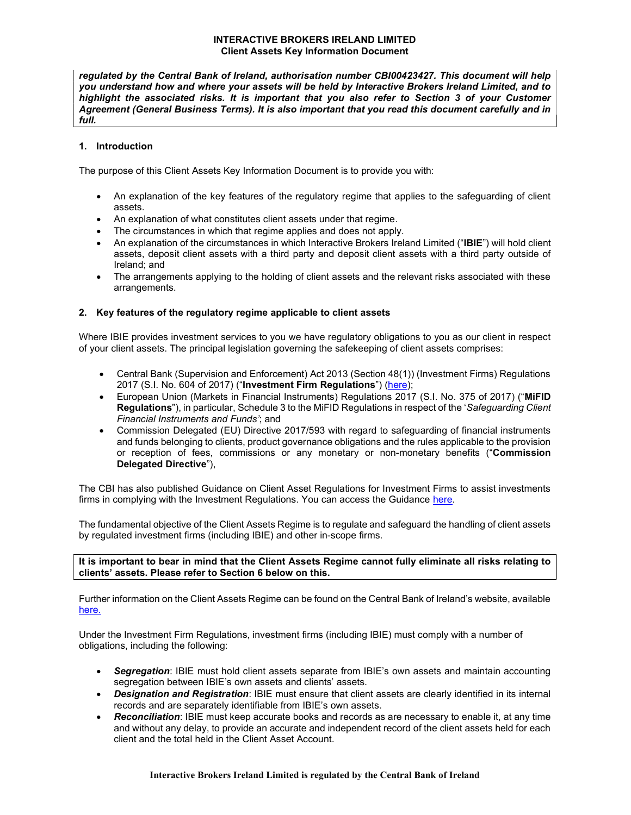regulated by the Central Bank of Ireland, authorisation number CBI00423427. This document will help you understand how and where your assets will be held by Interactive Brokers Ireland Limited, and to highlight the associated risks. It is important that you also refer to Section 3 of your Customer Agreement (General Business Terms). It is also important that you read this document carefully and in full.

# 1. Introduction

The purpose of this Client Assets Key Information Document is to provide you with:

- An explanation of the key features of the regulatory regime that applies to the safeguarding of client assets.
- An explanation of what constitutes client assets under that regime.
- The circumstances in which that regime applies and does not apply.
- An explanation of the circumstances in which Interactive Brokers Ireland Limited ("IBIE") will hold client assets, deposit client assets with a third party and deposit client assets with a third party outside of Ireland; and
- The arrangements applying to the holding of client assets and the relevant risks associated with these arrangements.

# 2. Key features of the regulatory regime applicable to client assets

Where IBIE provides investment services to you we have regulatory obligations to you as our client in respect of your client assets. The principal legislation governing the safekeeping of client assets comprises:

- Central Bank (Supervision and Enforcement) Act 2013 (Section 48(1)) (Investment Firms) Regulations 2017 (S.I. No. 604 of 2017) ("Investment Firm Regulations") (here);
- European Union (Markets in Financial Instruments) Regulations 2017 (S.I. No. 375 of 2017) ("MiFID Regulations"), in particular, Schedule 3 to the MiFID Regulations in respect of the 'Safeguarding Client Financial Instruments and Funds'; and
- Commission Delegated (EU) Directive 2017/593 with regard to safeguarding of financial instruments and funds belonging to clients, product governance obligations and the rules applicable to the provision or reception of fees, commissions or any monetary or non-monetary benefits ("Commission Delegated Directive"),

The CBI has also published Guidance on Client Asset Regulations for Investment Firms to assist investments firms in complying with the Investment Regulations. You can access the Guidance here.

The fundamental objective of the Client Assets Regime is to regulate and safeguard the handling of client assets by regulated investment firms (including IBIE) and other in-scope firms.

# It is important to bear in mind that the Client Assets Regime cannot fully eliminate all risks relating to clients' assets. Please refer to Section 6 below on this.

Further information on the Client Assets Regime can be found on the Central Bank of Ireland's website, available here.

Under the Investment Firm Regulations, investment firms (including IBIE) must comply with a number of obligations, including the following:

- Segregation: IBIE must hold client assets separate from IBIE's own assets and maintain accounting segregation between IBIE's own assets and clients' assets.
- Designation and Registration: IBIE must ensure that client assets are clearly identified in its internal records and are separately identifiable from IBIE's own assets.
- **Reconciliation:** IBIE must keep accurate books and records as are necessary to enable it, at any time and without any delay, to provide an accurate and independent record of the client assets held for each client and the total held in the Client Asset Account.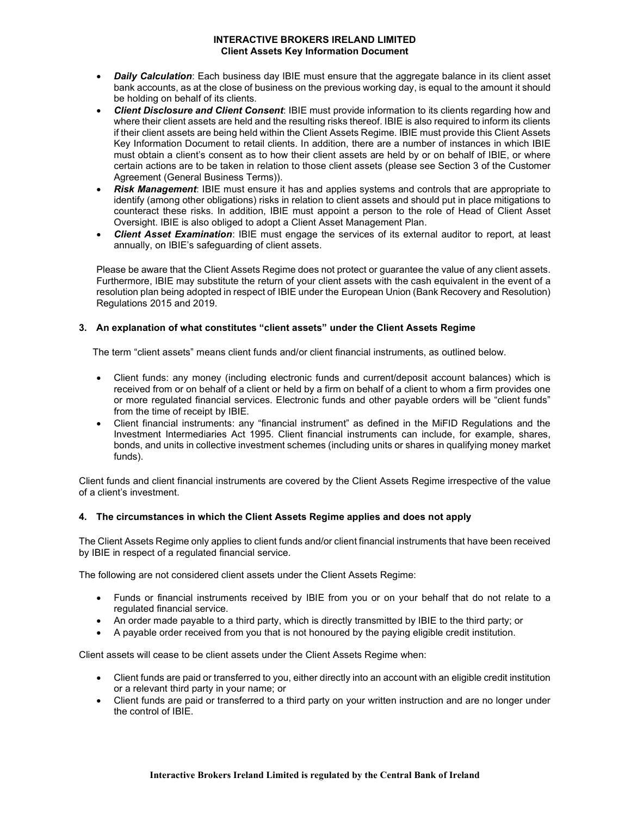- Daily Calculation: Each business day IBIE must ensure that the aggregate balance in its client asset bank accounts, as at the close of business on the previous working day, is equal to the amount it should be holding on behalf of its clients.
- **Client Disclosure and Client Consent:** IBIE must provide information to its clients regarding how and where their client assets are held and the resulting risks thereof. IBIE is also required to inform its clients if their client assets are being held within the Client Assets Regime. IBIE must provide this Client Assets Key Information Document to retail clients. In addition, there are a number of instances in which IBIE must obtain a client's consent as to how their client assets are held by or on behalf of IBIE, or where certain actions are to be taken in relation to those client assets (please see Section 3 of the Customer Agreement (General Business Terms)).
- Risk Management: IBIE must ensure it has and applies systems and controls that are appropriate to identify (among other obligations) risks in relation to client assets and should put in place mitigations to counteract these risks. In addition, IBIE must appoint a person to the role of Head of Client Asset Oversight. IBIE is also obliged to adopt a Client Asset Management Plan.
- Client Asset Examination: IBIE must engage the services of its external auditor to report, at least annually, on IBIE's safeguarding of client assets.

Please be aware that the Client Assets Regime does not protect or guarantee the value of any client assets. Furthermore, IBIE may substitute the return of your client assets with the cash equivalent in the event of a resolution plan being adopted in respect of IBIE under the European Union (Bank Recovery and Resolution) Regulations 2015 and 2019.

# 3. An explanation of what constitutes "client assets" under the Client Assets Regime

The term "client assets" means client funds and/or client financial instruments, as outlined below.

- Client funds: any money (including electronic funds and current/deposit account balances) which is received from or on behalf of a client or held by a firm on behalf of a client to whom a firm provides one or more regulated financial services. Electronic funds and other payable orders will be "client funds" from the time of receipt by IBIE.
- Client financial instruments: any "financial instrument" as defined in the MiFID Regulations and the Investment Intermediaries Act 1995. Client financial instruments can include, for example, shares, bonds, and units in collective investment schemes (including units or shares in qualifying money market funds).

Client funds and client financial instruments are covered by the Client Assets Regime irrespective of the value of a client's investment.

#### 4. The circumstances in which the Client Assets Regime applies and does not apply

The Client Assets Regime only applies to client funds and/or client financial instruments that have been received by IBIE in respect of a regulated financial service.

The following are not considered client assets under the Client Assets Regime:

- Funds or financial instruments received by IBIE from you or on your behalf that do not relate to a regulated financial service.
- An order made payable to a third party, which is directly transmitted by IBIE to the third party; or
- A payable order received from you that is not honoured by the paying eligible credit institution.

Client assets will cease to be client assets under the Client Assets Regime when:

- Client funds are paid or transferred to you, either directly into an account with an eligible credit institution or a relevant third party in your name; or
- Client funds are paid or transferred to a third party on your written instruction and are no longer under the control of IBIE.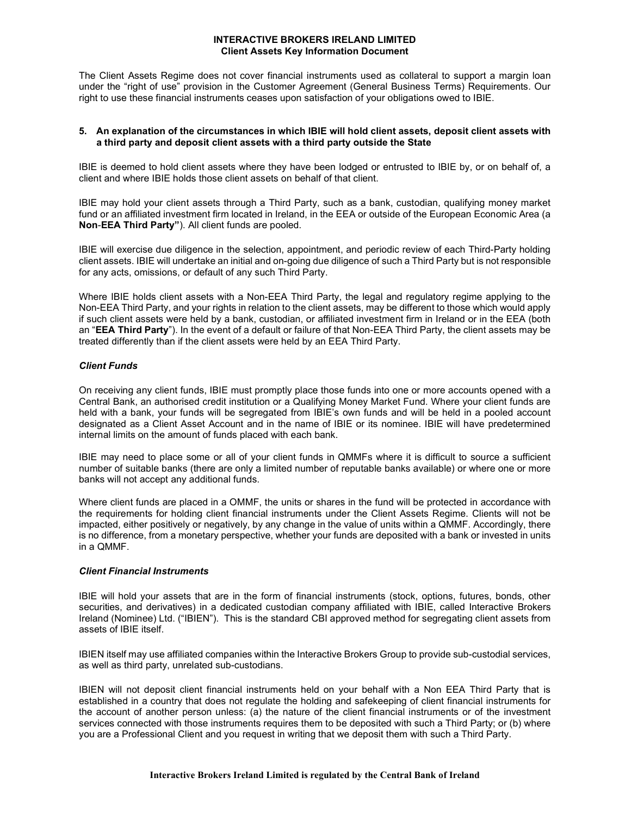The Client Assets Regime does not cover financial instruments used as collateral to support a margin loan under the "right of use" provision in the Customer Agreement (General Business Terms) Requirements. Our right to use these financial instruments ceases upon satisfaction of your obligations owed to IBIE.

#### 5. An explanation of the circumstances in which IBIE will hold client assets, deposit client assets with a third party and deposit client assets with a third party outside the State

IBIE is deemed to hold client assets where they have been lodged or entrusted to IBIE by, or on behalf of, a client and where IBIE holds those client assets on behalf of that client.

IBIE may hold your client assets through a Third Party, such as a bank, custodian, qualifying money market fund or an affiliated investment firm located in Ireland, in the EEA or outside of the European Economic Area (a Non-EEA Third Party"). All client funds are pooled.

IBIE will exercise due diligence in the selection, appointment, and periodic review of each Third-Party holding client assets. IBIE will undertake an initial and on-going due diligence of such a Third Party but is not responsible for any acts, omissions, or default of any such Third Party.

Where IBIE holds client assets with a Non-EEA Third Party, the legal and regulatory regime applying to the Non-EEA Third Party, and your rights in relation to the client assets, may be different to those which would apply if such client assets were held by a bank, custodian, or affiliated investment firm in Ireland or in the EEA (both an "EEA Third Party"). In the event of a default or failure of that Non-EEA Third Party, the client assets may be treated differently than if the client assets were held by an EEA Third Party.

# Client Funds

On receiving any client funds, IBIE must promptly place those funds into one or more accounts opened with a Central Bank, an authorised credit institution or a Qualifying Money Market Fund. Where your client funds are held with a bank, your funds will be segregated from IBIE's own funds and will be held in a pooled account designated as a Client Asset Account and in the name of IBIE or its nominee. IBIE will have predetermined internal limits on the amount of funds placed with each bank.

IBIE may need to place some or all of your client funds in QMMFs where it is difficult to source a sufficient number of suitable banks (there are only a limited number of reputable banks available) or where one or more banks will not accept any additional funds.

Where client funds are placed in a OMMF, the units or shares in the fund will be protected in accordance with the requirements for holding client financial instruments under the Client Assets Regime. Clients will not be impacted, either positively or negatively, by any change in the value of units within a QMMF. Accordingly, there is no difference, from a monetary perspective, whether your funds are deposited with a bank or invested in units in a QMMF.

### Client Financial Instruments

IBIE will hold your assets that are in the form of financial instruments (stock, options, futures, bonds, other securities, and derivatives) in a dedicated custodian company affiliated with IBIE, called Interactive Brokers Ireland (Nominee) Ltd. ("IBIEN"). This is the standard CBI approved method for segregating client assets from assets of IBIE itself.

IBIEN itself may use affiliated companies within the Interactive Brokers Group to provide sub-custodial services, as well as third party, unrelated sub-custodians.

IBIEN will not deposit client financial instruments held on your behalf with a Non EEA Third Party that is established in a country that does not regulate the holding and safekeeping of client financial instruments for the account of another person unless: (a) the nature of the client financial instruments or of the investment services connected with those instruments requires them to be deposited with such a Third Party; or (b) where you are a Professional Client and you request in writing that we deposit them with such a Third Party.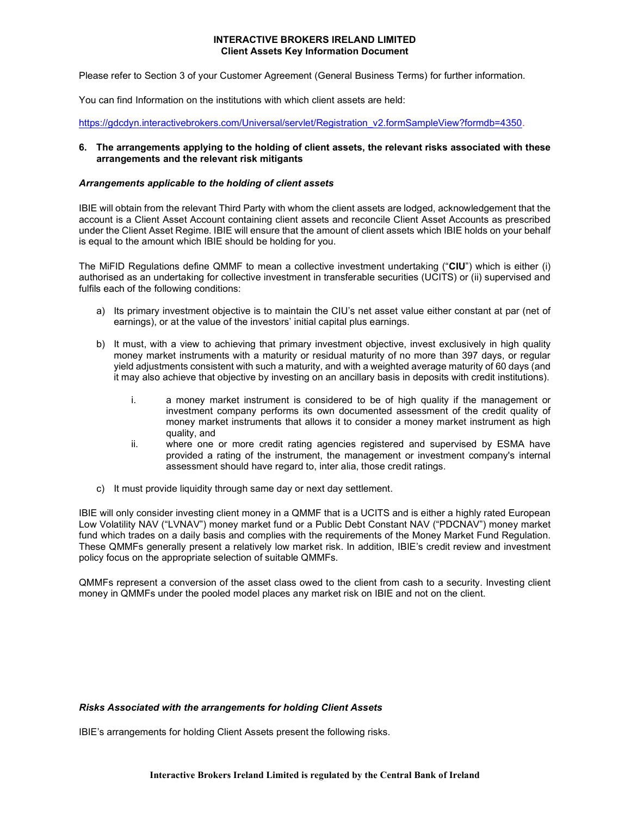Please refer to Section 3 of your Customer Agreement (General Business Terms) for further information.

You can find Information on the institutions with which client assets are held:

https://gdcdyn.interactivebrokers.com/Universal/servlet/Registration\_v2.formSampleView?formdb=4350.

## 6. The arrangements applying to the holding of client assets, the relevant risks associated with these arrangements and the relevant risk mitigants

## Arrangements applicable to the holding of client assets

IBIE will obtain from the relevant Third Party with whom the client assets are lodged, acknowledgement that the account is a Client Asset Account containing client assets and reconcile Client Asset Accounts as prescribed under the Client Asset Regime. IBIE will ensure that the amount of client assets which IBIE holds on your behalf is equal to the amount which IBIE should be holding for you.

The MiFID Regulations define QMMF to mean a collective investment undertaking ("CIU") which is either (i) authorised as an undertaking for collective investment in transferable securities (UCITS) or (ii) supervised and fulfils each of the following conditions:

- a) Its primary investment objective is to maintain the CIU's net asset value either constant at par (net of earnings), or at the value of the investors' initial capital plus earnings.
- b) It must, with a view to achieving that primary investment objective, invest exclusively in high quality money market instruments with a maturity or residual maturity of no more than 397 days, or regular yield adjustments consistent with such a maturity, and with a weighted average maturity of 60 days (and it may also achieve that objective by investing on an ancillary basis in deposits with credit institutions).
	- i. a money market instrument is considered to be of high quality if the management or investment company performs its own documented assessment of the credit quality of money market instruments that allows it to consider a money market instrument as high quality, and
	- ii. where one or more credit rating agencies registered and supervised by ESMA have provided a rating of the instrument, the management or investment company's internal assessment should have regard to, inter alia, those credit ratings.
- c) It must provide liquidity through same day or next day settlement.

IBIE will only consider investing client money in a QMMF that is a UCITS and is either a highly rated European Low Volatility NAV ("LVNAV") money market fund or a Public Debt Constant NAV ("PDCNAV") money market fund which trades on a daily basis and complies with the requirements of the Money Market Fund Regulation. These QMMFs generally present a relatively low market risk. In addition, IBIE's credit review and investment policy focus on the appropriate selection of suitable QMMFs.

QMMFs represent a conversion of the asset class owed to the client from cash to a security. Investing client money in QMMFs under the pooled model places any market risk on IBIE and not on the client.

#### Risks Associated with the arrangements for holding Client Assets

IBIE's arrangements for holding Client Assets present the following risks.